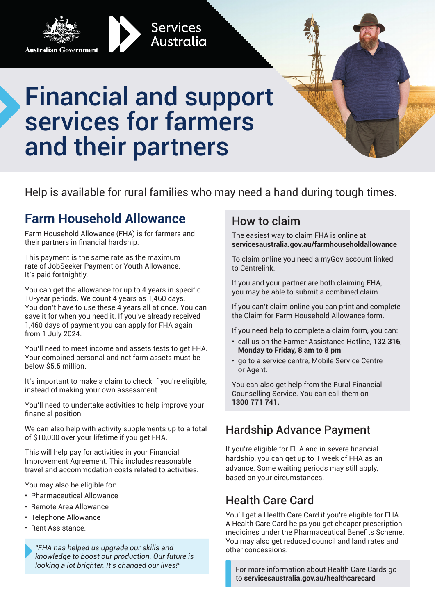



# Financial and support services for farmers and their partners

**Services** Australia

Help is available for rural families who may need a hand during tough times.

# **Farm Household Allowance**

Farm Household Allowance (FHA) is for farmers and their partners in financial hardship.

This payment is the same rate as the maximum rate of JobSeeker Payment or Youth Allowance. It's paid fortnightly.

You can get the allowance for up to 4 years in specific 10-year periods. We count 4 years as 1,460 days. You don't have to use these 4 years all at once. You can save it for when you need it. If you've already received 1,460 days of payment you can apply for FHA again from 1 July 2024.

You'll need to meet income and assets tests to get FHA. Your combined personal and net farm assets must be below \$5.5 million.

It's important to make a claim to check if you're eligible, instead of making your own assessment.

You'll need to undertake activities to help improve your financial position.

We can also help with activity supplements up to a total of \$10,000 over your lifetime if you get FHA.

This will help pay for activities in your Financial Improvement Agreement. This includes reasonable travel and accommodation costs related to activities.

You may also be eligible for:

- Pharmaceutical Allowance
- Remote Area Allowance
- Telephone Allowance
- Rent Assistance.

*"FHA has helped us upgrade our skills and knowledge to boost our production. Our future is looking a lot brighter. It's changed our lives!"*

#### How to claim

The easiest way to claim FHA is online at **servicesaustralia.gov.au/farmhouseholdallowance** 

To claim online you need a myGov account linked to Centrelink.

If you and your partner are both claiming FHA, you may be able to submit a combined claim.

If you can't claim online you can print and complete the Claim for Farm Household Allowance form.

If you need help to complete a claim form, you can:

- call us on the Farmer Assistance Hotline, **132 316**, **Monday to Friday, 8 am to 8 pm**
- go to a service centre, Mobile Service Centre or Agent.

You can also get help from the Rural Financial Counselling Service. You can call them on **1300 771 741.**

#### Hardship Advance Payment

If you're eligible for FHA and in severe financial hardship, you can get up to 1 week of FHA as an advance. Some waiting periods may still apply, based on your circumstances.

#### Health Care Card

You'll get a Health Care Card if you're eligible for FHA. A Health Care Card helps you get cheaper prescription medicines under the Pharmaceutical Benefits Scheme. You may also get reduced council and land rates and other concessions.

For more information about Health Care Cards go to **servicesaustralia.gov.au/healthcarecard**